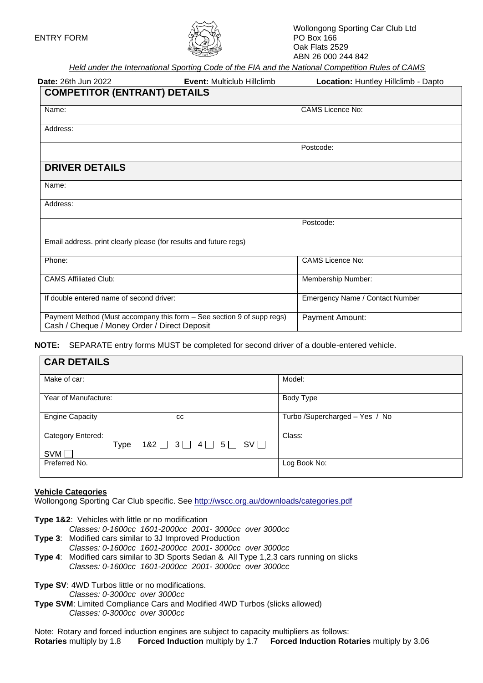

*Held under the International Sporting Code of the FIA and the National Competition Rules of CAMS*

| <b>Date: 26th Jun 2022</b>                                                                                             | Event: Multiclub Hillclimb | Location: Huntley Hillclimb - Dapto |
|------------------------------------------------------------------------------------------------------------------------|----------------------------|-------------------------------------|
| <b>COMPETITOR (ENTRANT) DETAILS</b>                                                                                    |                            |                                     |
| Name:                                                                                                                  |                            | <b>CAMS Licence No:</b>             |
| Address:                                                                                                               |                            |                                     |
|                                                                                                                        |                            | Postcode:                           |
| <b>DRIVER DETAILS</b>                                                                                                  |                            |                                     |
| Name:                                                                                                                  |                            |                                     |
| Address:                                                                                                               |                            |                                     |
|                                                                                                                        |                            | Postcode:                           |
| Email address. print clearly please (for results and future regs)                                                      |                            |                                     |
| Phone:                                                                                                                 |                            | <b>CAMS Licence No:</b>             |
| <b>CAMS Affiliated Club:</b>                                                                                           |                            | Membership Number:                  |
| If double entered name of second driver:                                                                               |                            | Emergency Name / Contact Number     |
| Payment Method (Must accompany this form - See section 9 of supp regs)<br>Cash / Cheque / Money Order / Direct Deposit |                            | Payment Amount:                     |

**NOTE:** SEPARATE entry forms MUST be completed for second driver of a double-entered vehicle.

| <b>CAR DETAILS</b>                                                                                        |                                 |  |  |  |  |  |
|-----------------------------------------------------------------------------------------------------------|---------------------------------|--|--|--|--|--|
| Make of car:                                                                                              | Model:                          |  |  |  |  |  |
| Year of Manufacture:                                                                                      | Body Type                       |  |  |  |  |  |
| <b>Engine Capacity</b><br>CC                                                                              | Turbo / Supercharged - Yes / No |  |  |  |  |  |
| Category Entered:<br>$182$ $\Box$ $3 \Box$ $4 \Box$ $5 \Box$ SV $\Box$<br><b>Type</b><br>SVM <sub>I</sub> | Class:                          |  |  |  |  |  |
| Preferred No.                                                                                             | Log Book No:                    |  |  |  |  |  |

#### **Vehicle Categories**

Wollongong Sporting Car Club specific. See<http://wscc.org.au/downloads/categories.pdf>

**Type 1&2**: Vehicles with little or no modification

- *Classes: 0-1600cc 1601-2000cc 2001- 3000cc over 3000cc*
- **Type 3**: Modified cars similar to 3J Improved Production
	- *Classes: 0-1600cc 1601-2000cc 2001- 3000cc over 3000cc*
- **Type 4**: Modified cars similar to 3D Sports Sedan & All Type 1,2,3 cars running on slicks *Classes: 0-1600cc 1601-2000cc 2001- 3000cc over 3000cc*
- **Type SV**: 4WD Turbos little or no modifications. *Classes: 0-3000cc over 3000cc*
- **Type SVM**: Limited Compliance Cars and Modified 4WD Turbos (slicks allowed) *Classes: 0-3000cc over 3000cc*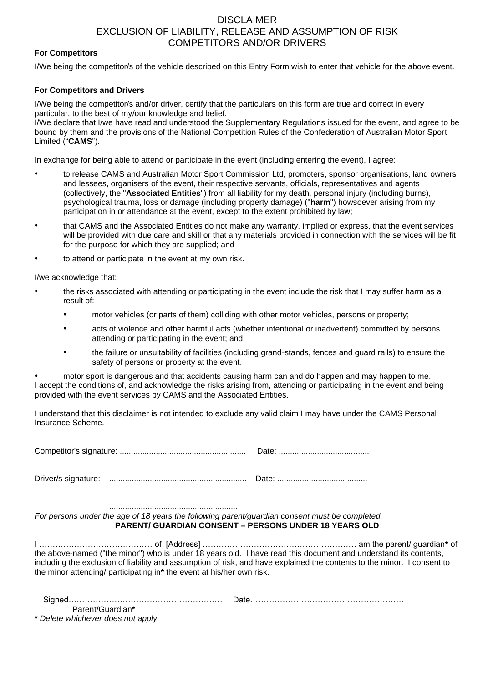## DISCLAIMER EXCLUSION OF LIABILITY, RELEASE AND ASSUMPTION OF RISK COMPETITORS AND/OR DRIVERS

#### **For Competitors**

I/We being the competitor/s of the vehicle described on this Entry Form wish to enter that vehicle for the above event.

### **For Competitors and Drivers**

I/We being the competitor/s and/or driver, certify that the particulars on this form are true and correct in every particular, to the best of my/our knowledge and belief.

I/We declare that I/we have read and understood the Supplementary Regulations issued for the event, and agree to be bound by them and the provisions of the National Competition Rules of the Confederation of Australian Motor Sport Limited ("**CAMS**").

In exchange for being able to attend or participate in the event (including entering the event), I agree:

- to release CAMS and Australian Motor Sport Commission Ltd, promoters, sponsor organisations, land owners and lessees, organisers of the event, their respective servants, officials, representatives and agents (collectively, the "**Associated Entities**") from all liability for my death, personal injury (including burns), psychological trauma, loss or damage (including property damage) ("**harm**") howsoever arising from my participation in or attendance at the event, except to the extent prohibited by law;
- that CAMS and the Associated Entities do not make any warranty, implied or express, that the event services will be provided with due care and skill or that any materials provided in connection with the services will be fit for the purpose for which they are supplied; and
- to attend or participate in the event at my own risk.

I/we acknowledge that:

- the risks associated with attending or participating in the event include the risk that I may suffer harm as a result of:
	- motor vehicles (or parts of them) colliding with other motor vehicles, persons or property;
	- acts of violence and other harmful acts (whether intentional or inadvertent) committed by persons attending or participating in the event; and
	- the failure or unsuitability of facilities (including grand-stands, fences and guard rails) to ensure the safety of persons or property at the event.

• motor sport is dangerous and that accidents causing harm can and do happen and may happen to me. I accept the conditions of, and acknowledge the risks arising from, attending or participating in the event and being provided with the event services by CAMS and the Associated Entities.

I understand that this disclaimer is not intended to exclude any valid claim I may have under the CAMS Personal Insurance Scheme.

Competitor's signature: ........................................................ Date: ........................................

Driver/s signature: ............................................................. Date: ........................................

......................................................... *For persons under the age of 18 years the following parent/guardian consent must be completed.* **PARENT/ GUARDIAN CONSENT – PERSONS UNDER 18 YEARS OLD**

I …………………………………… of [Address] ………………………………………………… am the parent/ guardian**\*** of the above-named ("the minor") who is under 18 years old. I have read this document and understand its contents, including the exclusion of liability and assumption of risk, and have explained the contents to the minor. I consent to the minor attending/ participating in**\*** the event at his/her own risk.

| Parent/Guardian* |  |
|------------------|--|
|                  |  |

**\*** *Delete whichever does not apply*